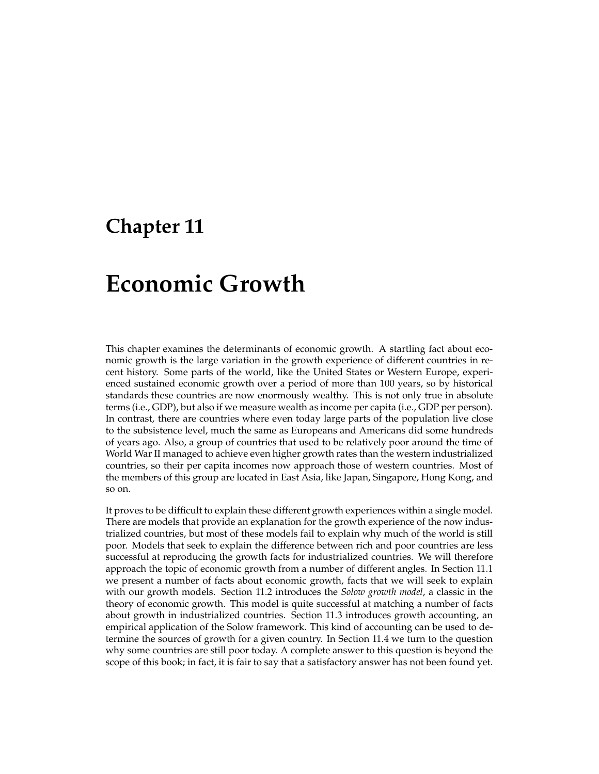## **Chapter 11**

# **Economic Growth**

This chapter examines the determinants of economic growth. A startling fact about economic growth is the large variation in the growth experience of different countries in recent history. Some parts of the world, like the United States or Western Europe, experienced sustained economic growth over a period of more than 100 years, so by historical standards these countries are now enormously wealthy. This is not only true in absolute terms (i.e., GDP), but also if we measure wealth as income per capita (i.e., GDP per person). In contrast, there are countries where even today large parts of the population live close to the subsistence level, much the same as Europeans and Americans did some hundreds of years ago. Also, a group of countries that used to be relatively poor around the time of World War II managed to achieve even higher growth rates than the western industrialized countries, so their per capita incomes now approach those of western countries. Most of the members of this group are located in East Asia, like Japan, Singapore, Hong Kong, and so on.

It proves to be difficult to explain these different growth experiences within a single model. There are models that provide an explanation for the growth experience of the now industrialized countries, but most of these models fail to explain why much of the world is still poor. Models that seek to explain the difference between rich and poor countries are less successful at reproducing the growth facts for industrialized countries. We will therefore approach the topic of economic growth from a number of different angles. In Section 11.1 we present a number of facts about economic growth, facts that we will seek to explain with our growth models. Section 11.2 introduces the *Solow growth model*, a classic in the theory of economic growth. This model is quite successful at matching a number of facts about growth in industrialized countries. Section 11.3 introduces growth accounting, an empirical application of the Solow framework. This kind of accounting can be used to determine the sources of growth for a given country. In Section 11.4 we turn to the question why some countries are still poor today. A complete answer to this question is beyond the scope of this book; in fact, it is fair to say that a satisfactory answer has not been found yet.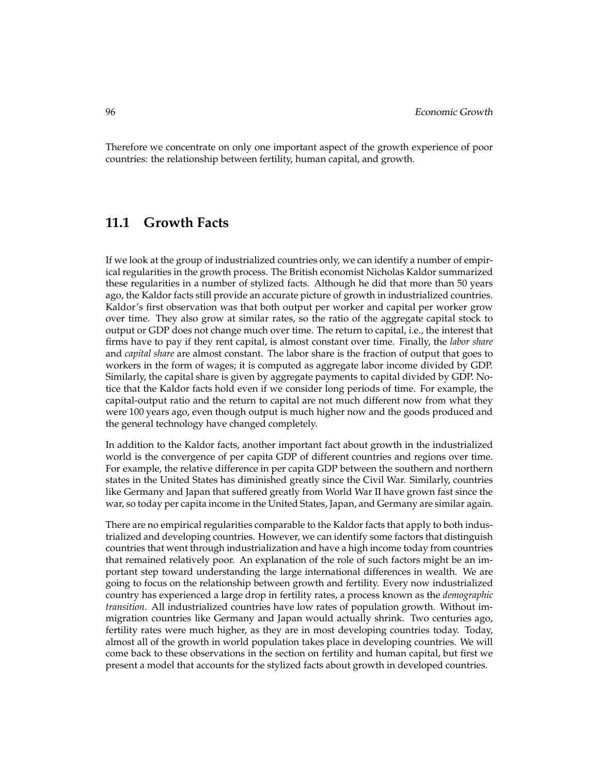Therefore we concentrate on only one important aspect of the growth experience of poor countries: the relationship between fertility, human capital, and growth.

## **11.1 Growth Facts**

If we look at the group of industrialized countries only, we can identify a number of empirical regularities in the growth process. The British economist Nicholas Kaldor summarized these regularities in a number of stylized facts. Although he did that more than 50 years ago, the Kaldor facts still provide an accurate picture of growth in industrialized countries. Kaldor's first observation was that both output per worker and capital per worker grow over time. They also grow at similar rates, so the ratio of the aggregate capital stock to output or GDP does not change much over time. The return to capital, i.e., the interest that firms have to pay if they rent capital, is almost constant over time. Finally, the *labor share* and *capital share* are almost constant. The labor share is the fraction of output that goes to workers in the form of wages; it is computed as aggregate labor income divided by GDP. Similarly, the capital share is given by aggregate payments to capital divided by GDP. Notice that the Kaldor facts hold even if we consider long periods of time. For example, the capital-output ratio and the return to capital are not much different now from what they were 100 years ago, even though output is much higher now and the goods produced and the general technology have changed completely.

In addition to the Kaldor facts, another important fact about growth in the industrialized world is the convergence of per capita GDP of different countries and regions over time. For example, the relative difference in per capita GDP between the southern and northern states in the United States has diminished greatly since the Civil War. Similarly, countries like Germany and Japan that suffered greatly from World War II have grown fast since the war, so today per capita income in the United States, Japan, and Germany are similar again.

There are no empirical regularities comparable to the Kaldor facts that apply to both industrialized and developing countries. However, we can identify some factors that distinguish countries that went through industrialization and have a high income today from countries that remained relatively poor. An explanation of the role of such factors might be an important step toward understanding the large international differences in wealth. We are going to focus on the relationship between growth and fertility. Every now industrialized country has experienced a large drop in fertility rates, a process known as the *demographic transition*. All industrialized countries have low rates of population growth. Without immigration countries like Germany and Japan would actually shrink. Two centuries ago, fertility rates were much higher, as they are in most developing countries today. Today, almost all of the growth in world population takes place in developing countries. We will come back to these observations in the section on fertility and human capital, but first we present a model that accounts for the stylized facts about growth in developed countries.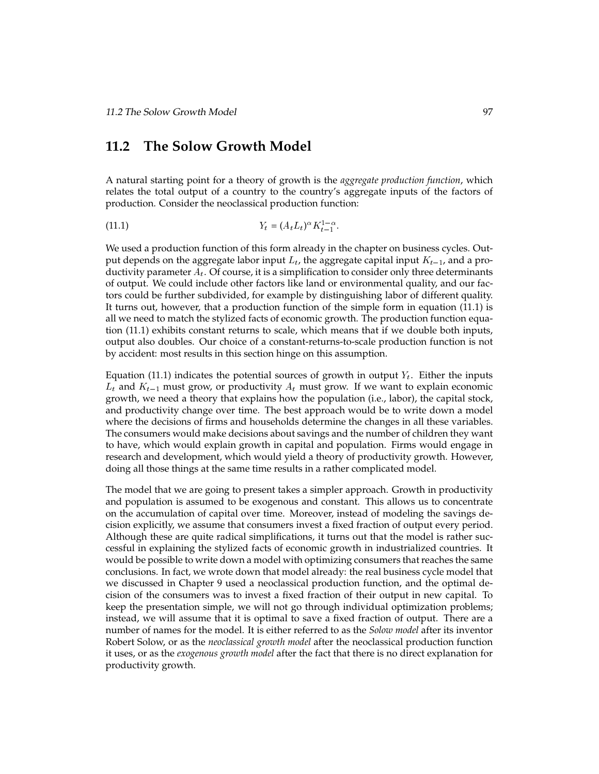## **11.2 The Solow Growth Model**

A natural starting point for a theory of growth is the *aggregate production function*, which relates the total output of a country to the country's aggregate inputs of the factors of production. Consider the neoclassical production function:

(11.1) 
$$
Y_t = (A_t L_t)^{\alpha} K_{t-1}^{1-\alpha}.
$$

We used a production function of this form already in the chapter on business cycles. Output depends on the aggregate labor input  $L_t$ , the aggregate capital input  $K_{t-1}$ , and a productivity parameter  $A_t$ . Of course, it is a simplification to consider only three determinants of output. We could include other factors like land or environmental quality, and our factors could be further subdivided, for example by distinguishing labor of different quality. It turns out, however, that a production function of the simple form in equation (11.1) is all we need to match the stylized facts of economic growth. The production function equation (11.1) exhibits constant returns to scale, which means that if we double both inputs, output also doubles. Our choice of a constant-returns-to-scale production function is not by accident: most results in this section hinge on this assumption.

Equation (11.1) indicates the potential sources of growth in output  $Y_t$ . Either the inputs  $L_t$  and  $K_{t-1}$  must grow, or productivity  $A_t$  must grow. If we want to explain economic growth, we need a theory that explains how the population (i.e., labor), the capital stock, and productivity change over time. The best approach would be to write down a model where the decisions of firms and households determine the changes in all these variables. The consumers would make decisions about savings and the number of children they want to have, which would explain growth in capital and population. Firms would engage in research and development, which would yield a theory of productivity growth. However, doing all those things at the same time results in a rather complicated model.

The model that we are going to present takes a simpler approach. Growth in productivity and population is assumed to be exogenous and constant. This allows us to concentrate on the accumulation of capital over time. Moreover, instead of modeling the savings decision explicitly, we assume that consumers invest a fixed fraction of output every period. Although these are quite radical simplifications, it turns out that the model is rather successful in explaining the stylized facts of economic growth in industrialized countries. It would be possible to write down a model with optimizing consumers that reaches the same conclusions. In fact, we wrote down that model already: the real business cycle model that we discussed in Chapter 9 used a neoclassical production function, and the optimal decision of the consumers was to invest a fixed fraction of their output in new capital. To keep the presentation simple, we will not go through individual optimization problems; instead, we will assume that it is optimal to save a fixed fraction of output. There are a number of names for the model. It is either referred to as the *Solow model* after its inventor Robert Solow, or as the *neoclassical growth model* after the neoclassical production function it uses, or as the *exogenous growth model* after the fact that there is no direct explanation for productivity growth.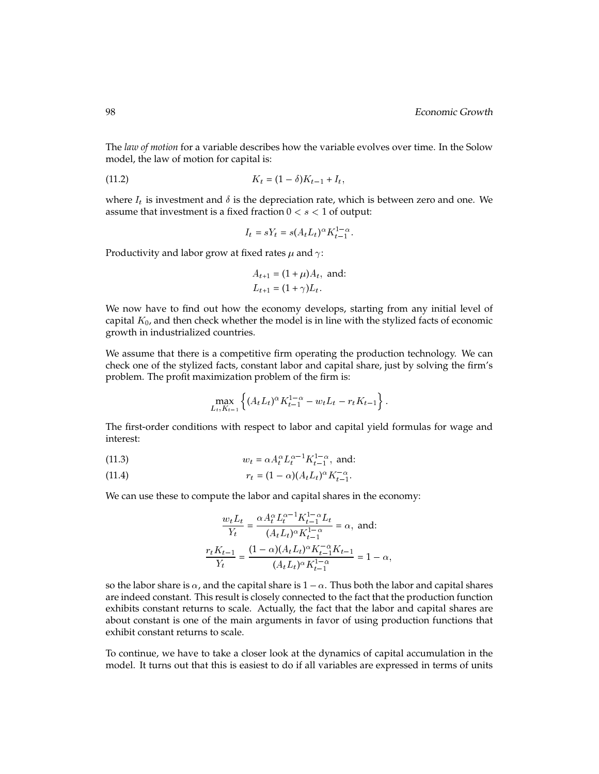The *law of motion* for a variable describes how the variable evolves over time. In the Solow model, the law of motion for capital is:

(11.2) 
$$
K_t = (1 - \delta)K_{t-1} + I_t,
$$

where  $I_t$  is investment and  $\delta$  is the depreciation rate, which is between zero and one. We assume that investment is a fixed fraction  $0 < s < 1$  of output:

$$
I_t = sY_t = s(A_t L_t)^\alpha K_{t-1}^{1-\alpha}.
$$

Productivity and labor grow at fixed rates  $\mu$  and  $\gamma$ :

$$
A_{t+1} = (1 + \mu)A_t, \text{ and:}
$$
  

$$
L_{t+1} = (1 + \gamma)L_t.
$$

We now have to find out how the economy develops, starting from any initial level of capital  $K_0$ , and then check whether the model is in line with the stylized facts of economic growth in industrialized countries.

We assume that there is a competitive firm operating the production technology. We can check one of the stylized facts, constant labor and capital share, just by solving the firm's problem. The profit maximization problem of the firm is:

$$
\max_{L_t, K_{t-1}} \left\{ (A_t L_t)^{\alpha} K_{t-1}^{1-\alpha} - w_t L_t - r_t K_{t-1} \right\}.
$$

The first-order conditions with respect to labor and capital yield formulas for wage and interest:

(11.3) 
$$
w_t = \alpha A_t^{\alpha} L_t^{\alpha - 1} K_{t-1}^{1 - \alpha}, \text{ and:}
$$

(11.4) 
$$
r_t = (1 - \alpha)(A_t L_t)^{\alpha} K_{t-1}^{-\alpha}.
$$

We can use these to compute the labor and capital shares in the economy:

$$
\frac{w_t L_t}{Y_t} = \frac{\alpha A_t^{\alpha} L_t^{\alpha - 1} K_{t-1}^{1 - \alpha} L_t}{(A_t L_t)^{\alpha} K_{t-1}^{1 - \alpha}} = \alpha, \text{ and:}
$$

$$
\frac{r_t K_{t-1}}{Y_t} = \frac{(1 - \alpha)(A_t L_t)^{\alpha} K_{t-1}^{-\alpha} K_{t-1}}{(A_t L_t)^{\alpha} K_{t-1}^{1 - \alpha}} = 1 - \alpha,
$$

so the labor share is  $\alpha$ , and the capital share is  $1 - \alpha$ . Thus both the labor and capital shares are indeed constant. This result is closely connected to the fact that the production function exhibits constant returns to scale. Actually, the fact that the labor and capital shares are about constant is one of the main arguments in favor of using production functions that exhibit constant returns to scale.

To continue, we have to take a closer look at the dynamics of capital accumulation in the model. It turns out that this is easiest to do if all variables are expressed in terms of units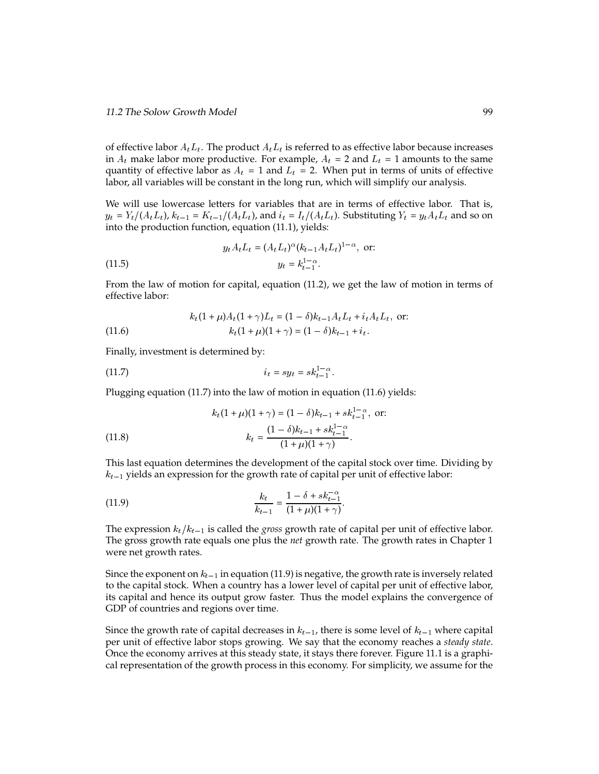of effective labor  $A_t L_t$ . The product  $A_t L_t$  is referred to as effective labor because increases in  $A_t$  make labor more productive. For example,  $A_t = 2$  and  $L_t = 1$  amounts to the same quantity of effective labor as  $A_t = 1$  and  $L_t = 2$ . When put in terms of units of effective labor, all variables will be constant in the long run, which will simplify our analysis.

We will use lowercase letters for variables that are in terms of effective labor. That is,  $y_t = Y_t/(A_tL_t)$ ,  $k_{t-1} = K_{t-1}/(A_tL_t)$ , and  $i_t = I_t/(A_tL_t)$ . Substituting  $Y_t = y_tA_tL_t$  and so on into the production function, equation (11.1), yields:

(11.5) 
$$
y_t A_t L_t = (A_t L_t)^{\alpha} (k_{t-1} A_t L_t)^{1-\alpha}, \text{ or:}
$$

$$
y_t = k_{t-1}^{1-\alpha}.
$$

From the law of motion for capital, equation (11.2), we get the law of motion in terms of effective labor:

(11.6) 
$$
k_t(1+\mu)A_t(1+\gamma)L_t = (1-\delta)k_{t-1}A_tL_t + i_tA_tL_t, \text{ or:}
$$

$$
k_t(1+\mu)(1+\gamma) = (1-\delta)k_{t-1} + i_t.
$$

Finally, investment is determined by:

(11.7) 
$$
i_t = sy_t = sk_{t-1}^{1-\alpha}.
$$

Plugging equation (11.7) into the law of motion in equation (11.6) yields:

(11.8) 
$$
k_t(1 + \mu)(1 + \gamma) = (1 - \delta)k_{t-1} + sk_{t-1}^{1-\alpha}, \text{ or:}
$$

$$
k_t = \frac{(1 - \delta)k_{t-1} + sk_{t-1}^{1-\alpha}}{(1 + \mu)(1 + \gamma)}.
$$

This last equation determines the development of the capital stock over time. Dividing by  $k_{t-1}$  yields an expression for the growth rate of capital per unit of effective labor:

(11.9) 
$$
\frac{k_t}{k_{t-1}} = \frac{1 - \delta + sk_{t-1}^{-\alpha}}{(1 + \mu)(1 + \gamma)}.
$$

The expression  $k_t/k_{t-1}$  is called the *gross* growth rate of capital per unit of effective labor. The gross growth rate equals one plus the *net* growth rate. The growth rates in Chapter 1 were net growth rates.

Since the exponent on  $k_{t-1}$  in equation (11.9) is negative, the growth rate is inversely related to the capital stock. When a country has a lower level of capital per unit of effective labor, its capital and hence its output grow faster. Thus the model explains the convergence of GDP of countries and regions over time.

Since the growth rate of capital decreases in  $k_{t-1}$ , there is some level of  $k_{t-1}$  where capital per unit of effective labor stops growing. We say that the economy reaches a *steady state*. Once the economy arrives at this steady state, it stays there forever. Figure 11.1 is a graphical representation of the growth process in this economy. For simplicity, we assume for the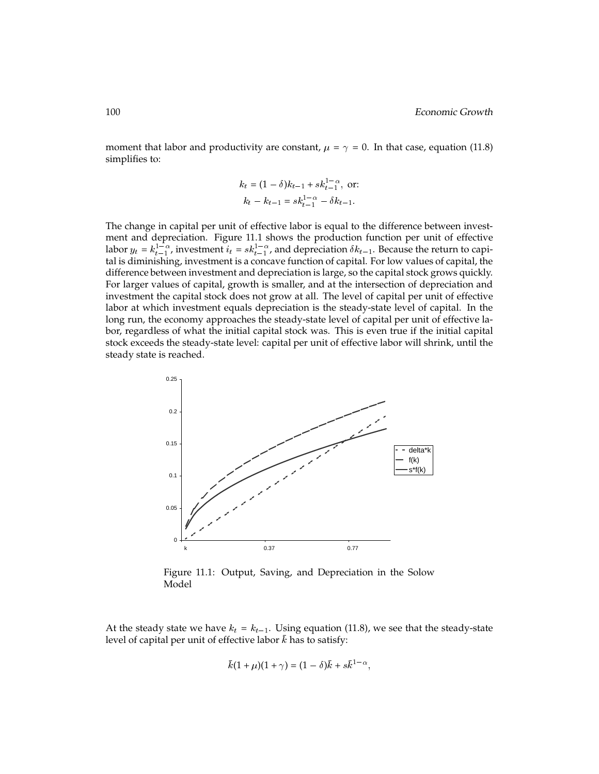moment that labor and productivity are constant,  $\mu = \gamma = 0$ . In that case, equation (11.8) simplifies to:

$$
k_t = (1 - \delta)k_{t-1} + sk_{t-1}^{1-\alpha}, \text{ or:}
$$
  

$$
k_t - k_{t-1} = sk_{t-1}^{1-\alpha} - \delta k_{t-1}.
$$

The change in capital per unit of effective labor is equal to the difference between investment and depreciation. Figure 11.1 shows the production function per unit of effective labor  $y_t = k_{t-1}^{1-\alpha}$ , investment  $i_t = sk_{t-1}^{1-\alpha}$ , and depreciation  $\delta k_{t-1}$ . Because the return to capital is diminishing, investment is a concave function of capital. For low values of capital, the difference between investment and depreciation is large, so the capital stock grows quickly. For larger values of capital, growth is smaller, and at the intersection of depreciation and investment the capital stock does not grow at all. The level of capital per unit of effective labor at which investment equals depreciation is the steady-state level of capital. In the long run, the economy approaches the steady-state level of capital per unit of effective labor, regardless of what the initial capital stock was. This is even true if the initial capital stock exceeds the steady-state level: capital per unit of effective labor will shrink, until the steady state is reached.



Figure 11.1: Output, Saving, and Depreciation in the Solow Model

At the steady state we have  $k_t = k_{t-1}$ . Using equation (11.8), we see that the steady-state level of capital per unit of effective labor  $\bar{k}$  has to satisfy:

$$
\bar{k}(1 + \mu)(1 + \gamma) = (1 - \delta)\bar{k} + s\bar{k}^{1-\alpha},
$$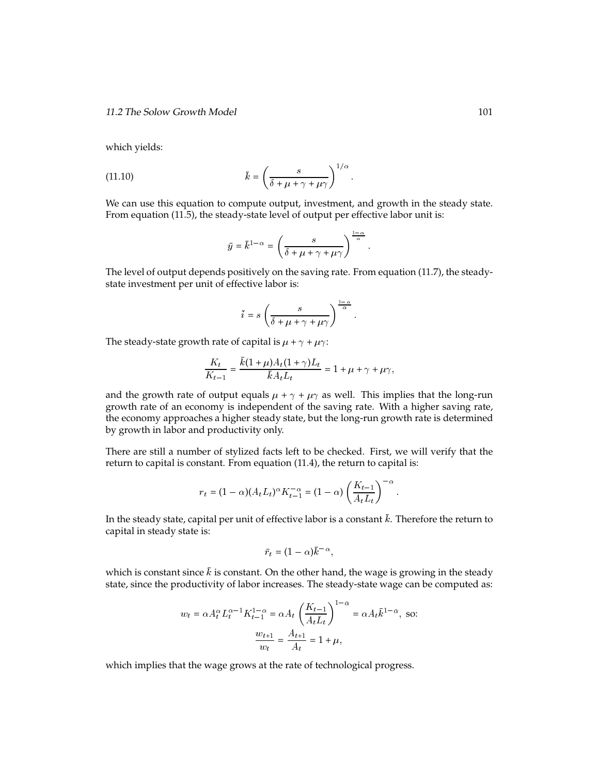which yields:

(11.10) 
$$
\bar{k} = \left(\frac{s}{\delta + \mu + \gamma + \mu\gamma}\right)^{1/\alpha}.
$$

We can use this equation to compute output, investment, and growth in the steady state. From equation (11.5), the steady-state level of output per effective labor unit is:

$$
\bar{y} = \bar{k}^{1-\alpha} = \left(\frac{s}{\delta + \mu + \gamma + \mu\gamma}\right)^{\frac{1-\alpha}{\alpha}}.
$$

The level of output depends positively on the saving rate. From equation (11.7), the steadystate investment per unit of effective labor is:

$$
\bar{i} = s \left( \frac{s}{\delta + \mu + \gamma + \mu \gamma} \right)^{\frac{1-\alpha}{\alpha}}.
$$

The steady-state growth rate of capital is  $\mu + \gamma + \mu \gamma$ :

$$
\frac{K_t}{K_{t-1}} = \frac{\bar{k}(1+\mu)A_t(1+\gamma)L_t}{\bar{k}A_tL_t} = 1 + \mu + \gamma + \mu\gamma,
$$

and the growth rate of output equals  $\mu + \gamma + \mu \gamma$  as well. This implies that the long-run growth rate of an economy is independent of the saving rate. With a higher saving rate, the economy approaches a higher steady state, but the long-run growth rate is determined by growth in labor and productivity only.

There are still a number of stylized facts left to be checked. First, we will verify that the return to capital is constant. From equation (11.4), the return to capital is:

$$
r_t = (1 - \alpha)(A_t L_t)^{\alpha} K_{t-1}^{-\alpha} = (1 - \alpha) \left( \frac{K_{t-1}}{A_t L_t} \right)^{-\alpha}.
$$

In the steady state, capital per unit of effective labor is a constant  $\bar{k}$ . Therefore the return to capital in steady state is:

$$
\bar{r}_t = (1 - \alpha)\bar{k}^{-\alpha},
$$

which is constant since  $\bar{k}$  is constant. On the other hand, the wage is growing in the steady state, since the productivity of labor increases. The steady-state wage can be computed as:

$$
w_t = \alpha A_t^{\alpha} L_t^{\alpha - 1} K_{t-1}^{1 - \alpha} = \alpha A_t \left( \frac{K_{t-1}}{A_t L_t} \right)^{1 - \alpha} = \alpha A_t \bar{k}^{1 - \alpha}, \text{ so:}
$$

$$
\frac{w_{t+1}}{w_t} = \frac{A_{t+1}}{A_t} = 1 + \mu,
$$

which implies that the wage grows at the rate of technological progress.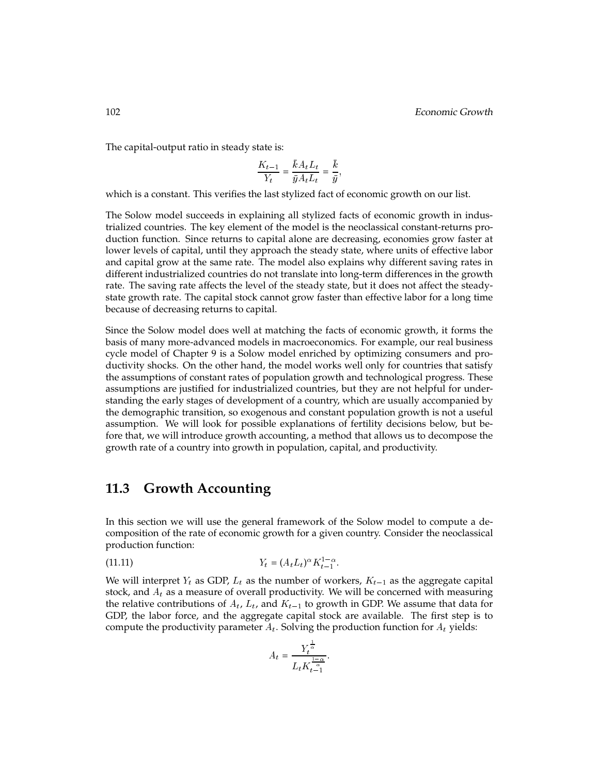The capital-output ratio in steady state is:

$$
\frac{K_{t-1}}{Y_t} = \frac{\bar{k}A_tL_t}{\bar{y}A_tL_t} = \frac{\bar{k}}{\bar{y}},
$$

which is a constant. This verifies the last stylized fact of economic growth on our list.

The Solow model succeeds in explaining all stylized facts of economic growth in industrialized countries. The key element of the model is the neoclassical constant-returns production function. Since returns to capital alone are decreasing, economies grow faster at lower levels of capital, until they approach the steady state, where units of effective labor and capital grow at the same rate. The model also explains why different saving rates in different industrialized countries do not translate into long-term differences in the growth rate. The saving rate affects the level of the steady state, but it does not affect the steadystate growth rate. The capital stock cannot grow faster than effective labor for a long time because of decreasing returns to capital.

Since the Solow model does well at matching the facts of economic growth, it forms the basis of many more-advanced models in macroeconomics. For example, our real business cycle model of Chapter 9 is a Solow model enriched by optimizing consumers and productivity shocks. On the other hand, the model works well only for countries that satisfy the assumptions of constant rates of population growth and technological progress. These assumptions are justified for industrialized countries, but they are not helpful for understanding the early stages of development of a country, which are usually accompanied by the demographic transition, so exogenous and constant population growth is not a useful assumption. We will look for possible explanations of fertility decisions below, but before that, we will introduce growth accounting, a method that allows us to decompose the growth rate of a country into growth in population, capital, and productivity.

## **11.3 Growth Accounting**

In this section we will use the general framework of the Solow model to compute a decomposition of the rate of economic growth for a given country. Consider the neoclassical production function:

(11.11) 
$$
Y_t = (A_t L_t)^{\alpha} K_{t-1}^{1-\alpha}.
$$

We will interpret  $Y_t$  as GDP,  $L_t$  as the number of workers,  $K_{t-1}$  as the aggregate capital stock, and  $A_t$  as a measure of overall productivity. We will be concerned with measuring the relative contributions of  $A_t$ ,  $L_t$ , and  $K_{t-1}$  to growth in GDP. We assume that data for GDP, the labor force, and the aggregate capital stock are available. The first step is to compute the productivity parameter  $A_t$ . Solving the production function for  $A_t$  yields:

$$
A_t = \frac{Y_t^{\frac{1}{\alpha}}}{L_t K_{t-1}^{\frac{1-\alpha}{\alpha}}}.
$$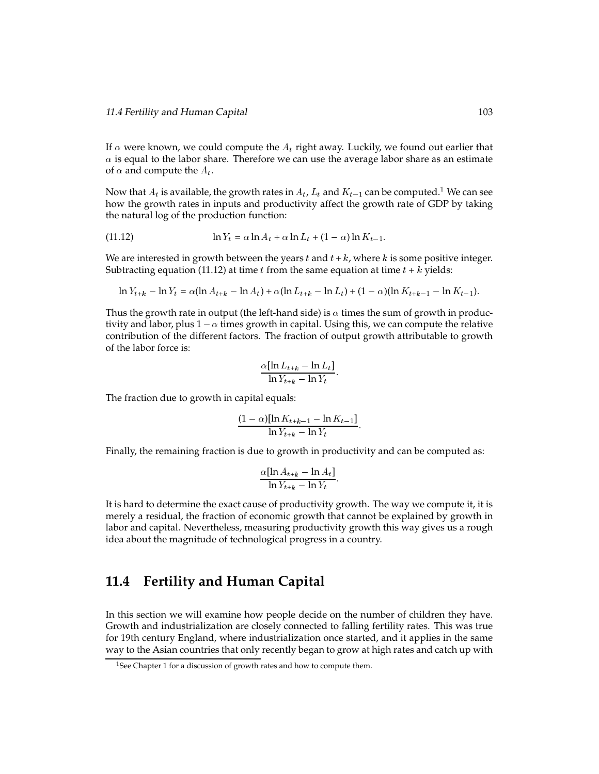If  $\alpha$  were known, we could compute the  $A_t$  right away. Luckily, we found out earlier that  $\alpha$  is equal to the labor share. Therefore we can use the average labor share as an estimate of  $\alpha$  and compute the  $A_t$ .

Now that  $A_t$  is available, the growth rates in  $A_t$ ,  $L_t$  and  $K_{t-1}$  can be computed.<sup>1</sup> We can see how the growth rates in inputs and productivity affect the growth rate of GDP by taking the natural log of the production function:

(11.12) 
$$
\ln Y_t = \alpha \ln A_t + \alpha \ln L_t + (1 - \alpha) \ln K_{t-1}.
$$

We are interested in growth between the years t and  $t + k$ , where k is some positive integer. Subtracting equation (11.12) at time t from the same equation at time  $t + k$  yields:

$$
\ln Y_{t+k} - \ln Y_t = \alpha (\ln A_{t+k} - \ln A_t) + \alpha (\ln L_{t+k} - \ln L_t) + (1 - \alpha)(\ln K_{t+k-1} - \ln K_{t-1}).
$$

Thus the growth rate in output (the left-hand side) is  $\alpha$  times the sum of growth in productivity and labor, plus  $1 - \alpha$  times growth in capital. Using this, we can compute the relative contribution of the different factors. The fraction of output growth attributable to growth of the labor force is:

$$
\frac{\alpha[\ln L_{t+k} - \ln L_t]}{\ln Y_{t+k} - \ln Y_t}.
$$

The fraction due to growth in capital equals:

$$
\frac{(1-\alpha)[\ln K_{t+k-1} - \ln K_{t-1}]}{\ln Y_{t+k} - \ln Y_t}.
$$

Finally, the remaining fraction is due to growth in productivity and can be computed as:

$$
\frac{\alpha[\ln A_{t+k} - \ln A_t]}{\ln Y_{t+k} - \ln Y_t}.
$$

It is hard to determine the exact cause of productivity growth. The way we compute it, it is merely a residual, the fraction of economic growth that cannot be explained by growth in labor and capital. Nevertheless, measuring productivity growth this way gives us a rough idea about the magnitude of technological progress in a country.

## **11.4 Fertility and Human Capital**

In this section we will examine how people decide on the number of children they have. Growth and industrialization are closely connected to falling fertility rates. This was true for 19th century England, where industrialization once started, and it applies in the same way to the Asian countries that only recently began to grow at high rates and catch up with

<sup>&</sup>lt;sup>1</sup>See Chapter 1 for a discussion of growth rates and how to compute them.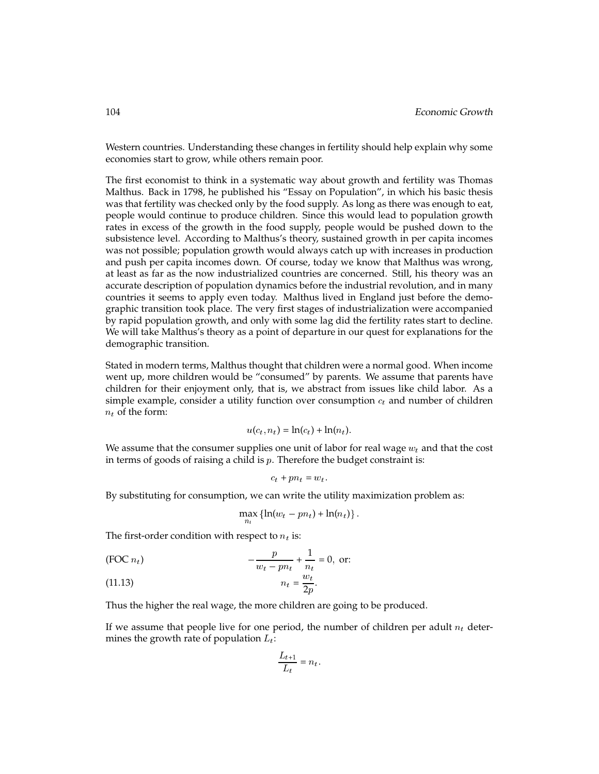Western countries. Understanding these changes in fertility should help explain why some economies start to grow, while others remain poor.

The first economist to think in a systematic way about growth and fertility was Thomas Malthus. Back in 1798, he published his "Essay on Population", in which his basic thesis was that fertility was checked only by the food supply. As long as there was enough to eat, people would continue to produce children. Since this would lead to population growth rates in excess of the growth in the food supply, people would be pushed down to the subsistence level. According to Malthus's theory, sustained growth in per capita incomes was not possible; population growth would always catch up with increases in production and push per capita incomes down. Of course, today we know that Malthus was wrong, at least as far as the now industrialized countries are concerned. Still, his theory was an accurate description of population dynamics before the industrial revolution, and in many countries it seems to apply even today. Malthus lived in England just before the demographic transition took place. The very first stages of industrialization were accompanied by rapid population growth, and only with some lag did the fertility rates start to decline. We will take Malthus's theory as a point of departure in our quest for explanations for the demographic transition.

Stated in modern terms, Malthus thought that children were a normal good. When income went up, more children would be "consumed" by parents. We assume that parents have children for their enjoyment only, that is, we abstract from issues like child labor. As a simple example, consider a utility function over consumption  $c_t$  and number of children  $n_t$  of the form:

$$
u(c_t, n_t) = \ln(c_t) + \ln(n_t).
$$

We assume that the consumer supplies one unit of labor for real wage  $w_t$  and that the cost in terms of goods of raising a child is  $p$ . Therefore the budget constraint is:

$$
c_t + p n_t = w_t
$$

By substituting for consumption, we can write the utility maximization problem as:

$$
\max_{n_t} \left\{ \ln(w_t - p n_t) + \ln(n_t) \right\}.
$$

The first-order condition with respect to  $n_t$  is:

(FOC 
$$
n_t
$$
) 
$$
-\frac{p}{w_t - pn_t} + \frac{1}{n_t} = 0, \text{ or:}
$$

$$
(11.13) \t\t\t n_t = \frac{\omega_t}{2p}.
$$

Thus the higher the real wage, the more children are going to be produced.

If we assume that people live for one period, the number of children per adult  $n_t$  determines the growth rate of population  $L_t$ :

$$
\frac{L_{t+1}}{L_t} = n_t.
$$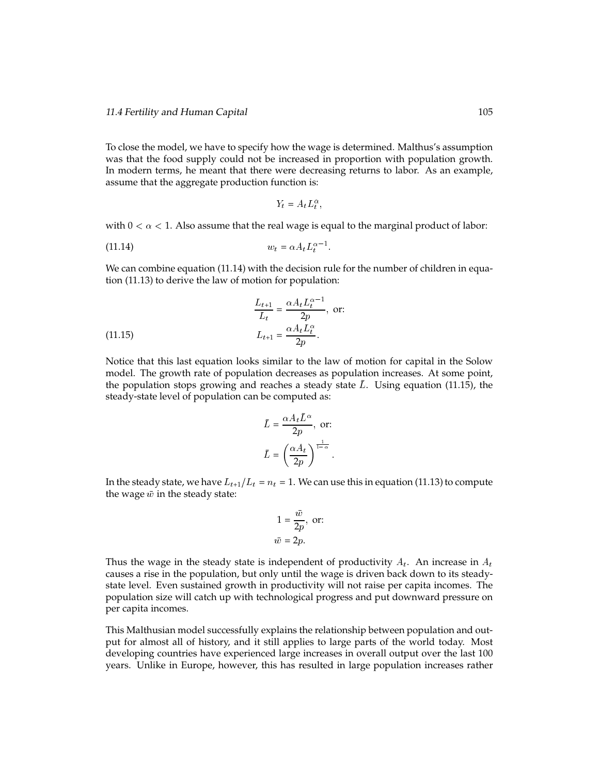To close the model, we have to specify how the wage is determined. Malthus's assumption was that the food supply could not be increased in proportion with population growth. In modern terms, he meant that there were decreasing returns to labor. As an example, assume that the aggregate production function is:

$$
Y_t = A_t L_t^{\alpha},
$$

with  $0 < \alpha < 1$ . Also assume that the real wage is equal to the marginal product of labor:

$$
(11.14) \t\t\t w_t = \alpha A_t L_t^{\alpha - 1}.
$$

We can combine equation (11.14) with the decision rule for the number of children in equation (11.13) to derive the law of motion for population:

the contract of the contract of the contract of the contract of the contract of the contract of the contract of

(11.15) 
$$
\frac{L_{t+1}}{L_t} = \frac{\alpha A_t L_t^{\alpha - 1}}{2p}, \text{ or:}
$$

$$
L_{t+1} = \frac{\alpha A_t L_t^{\alpha}}{2p}.
$$

Notice that this last equation looks similar to the law of motion for capital in the Solow model. The growth rate of population decreases as population increases. At some point, the population stops growing and reaches a steady state  $\bar{L}$ . Using equation (11.15), the steady-state level of population can be computed as:

$$
\bar{L} = \frac{\alpha A_t \bar{L}^{\alpha}}{2p}, \text{ or:}
$$

$$
\bar{L} = \left(\frac{\alpha A_t}{2p}\right)^{\frac{1}{1-\alpha}}.
$$

In the steady state, we have  $L_{t+1}/L_t = n_t = 1$ . We can use this in equation (11.13) to compute the wage  $\bar{w}$  in the steady state:

$$
1 = \frac{\bar{w}}{2p}, \text{ or:}
$$

$$
\bar{w} = 2p.
$$

Thus the wage in the steady state is independent of productivity  $A_t$ . An increase in  $A_t$ causes a rise in the population, but only until the wage is driven back down to its steadystate level. Even sustained growth in productivity will not raise per capita incomes. The population size will catch up with technological progress and put downward pressure on per capita incomes.

This Malthusian model successfully explains the relationship between population and output for almost all of history, and it still applies to large parts of the world today. Most developing countries have experienced large increases in overall output over the last 100 years. Unlike in Europe, however, this has resulted in large population increases rather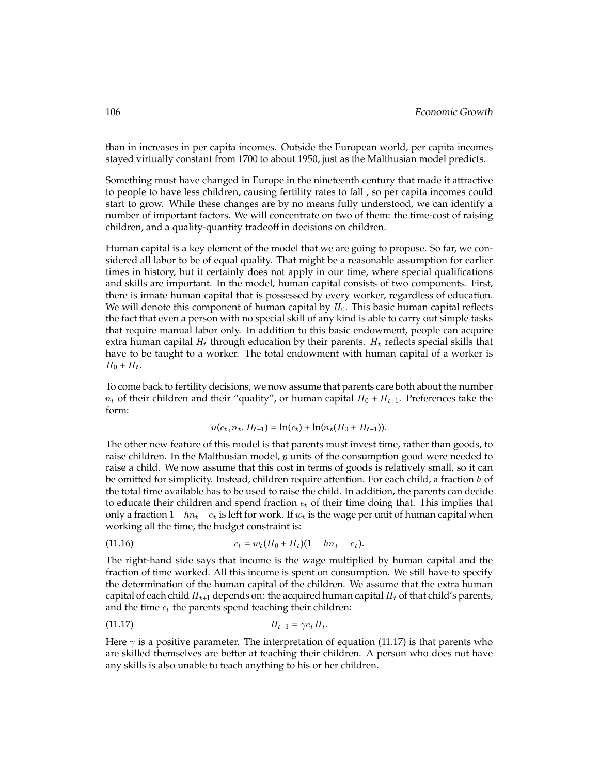than in increases in per capita incomes. Outside the European world, per capita incomes stayed virtually constant from 1700 to about 1950, just as the Malthusian model predicts.

Something must have changed in Europe in the nineteenth century that made it attractive to people to have less children, causing fertility rates to fall , so per capita incomes could start to grow. While these changes are by no means fully understood, we can identify a number of important factors. We will concentrate on two of them: the time-cost of raising children, and a quality-quantity tradeoff in decisions on children.

Human capital is a key element of the model that we are going to propose. So far, we considered all labor to be of equal quality. That might be a reasonable assumption for earlier times in history, but it certainly does not apply in our time, where special qualifications and skills are important. In the model, human capital consists of two components. First, there is innate human capital that is possessed by every worker, regardless of education. We will denote this component of human capital by  $H_0$ . This basic human capital reflects the fact that even a person with no special skill of any kind is able to carry out simple tasks that require manual labor only. In addition to this basic endowment, people can acquire extra human capital  $H_t$  through education by their parents.  $H_t$  reflects special skills that have to be taught to a worker. The total endowment with human capital of a worker is  $H_0 + H_t$ .

To come back to fertility decisions, we now assume that parents care both about the number  $n_t$  of their children and their "quality", or human capital  $H_0 + H_{t+1}$ . Preferences take the form:

$$
u(c_t, n_t, H_{t+1}) = \ln(c_t) + \ln(n_t(H_0 + H_{t+1}))
$$

The other new feature of this model is that parents must invest time, rather than goods, to raise children. In the Malthusian model,  $p$  units of the consumption good were needed to raise a child. We now assume that this cost in terms of goods is relatively small, so it can be omitted for simplicity. Instead, children require attention. For each child, a fraction h of the total time available has to be used to raise the child. In addition, the parents can decide to educate their children and spend fraction  $e_t$  of their time doing that. This implies that only a fraction  $1-hn_t - e_t$  is left for work. If  $w_t$  is the wage per unit of human capital when working all the time, the budget constraint is:

$$
(11.16) \t\t c_t = w_t (H_0 + H_t)(1 - h n_t - e_t).
$$

The right-hand side says that income is the wage multiplied by human capital and the fraction of time worked. All this income is spent on consumption. We still have to specify the determination of the human capital of the children. We assume that the extra human capital of each child  $H_{t+1}$  depends on: the acquired human capital  $H_t$  of that child's parents, and the time  $e_t$  the parents spend teaching their children:

$$
(11.17) \t\t\t H_{t+1} = \gamma e_t H_t.
$$

Here  $\gamma$  is a positive parameter. The interpretation of equation (11.17) is that parents who are skilled themselves are better at teaching their children. A person who does not have any skills is also unable to teach anything to his or her children.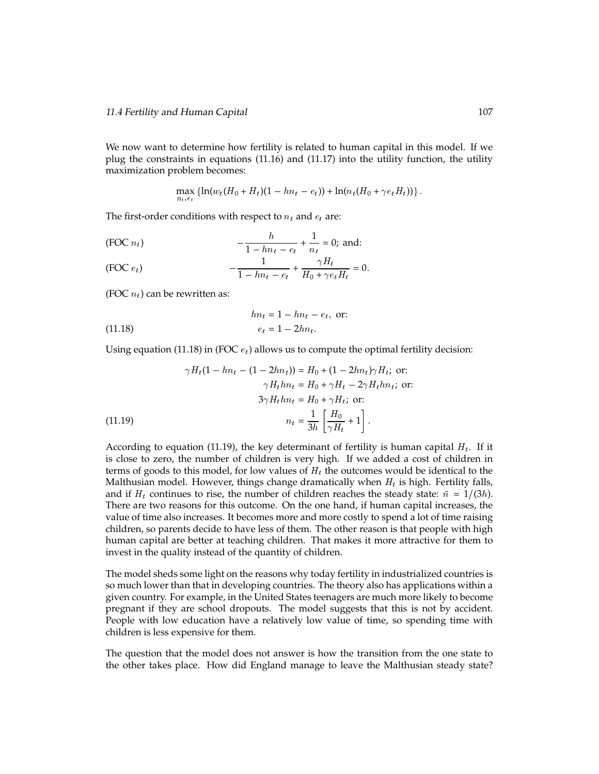We now want to determine how fertility is related to human capital in this model. If we plug the constraints in equations (11.16) and (11.17) into the utility function, the utility maximization problem becomes:

$$
\max_{n_t, e_t} \left\{ \ln(w_t(H_0 + H_t)(1 - hn_t - e_t)) + \ln(n_t(H_0 + \gamma e_t H_t)) \right\}.
$$

The first-order conditions with respect to  $n_t$  and  $e_t$  are:

(FOC 
$$
n_t
$$
) 
$$
-\frac{h}{1 - hn_t - e_t} + \frac{1}{n_t} = 0; \text{ and:}
$$

(FOC 
$$
e_t
$$
) 
$$
-\frac{1}{1 - hn_t - e_t} + \frac{\gamma H_t}{H_0 + \gamma e_t H_t} = 0.
$$

(FOC  $n_t$ ) can be rewritten as:

(11.18) 
$$
hn_{t} = 1 - hn_{t} - e_{t}, \text{ or:}
$$

$$
e_{t} = 1 - 2hn_{t}.
$$

Using equation (11.18) in (FOC  $e_t$ ) allows us to compute the optimal fertility decision:

$$
\gamma H_t (1 - h n_t - (1 - 2h n_t)) = H_0 + (1 - 2h n_t) \gamma H_t; \text{ or:}
$$

$$
\gamma H_t h n_t = H_0 + \gamma H_t - 2\gamma H_t h n_t; \text{ or:}
$$

$$
3\gamma H_t h n_t = H_0 + \gamma H_t; \text{ or:}
$$

$$
n_t = \frac{1}{3h} \left[ \frac{H_0}{\gamma H_t} + 1 \right].
$$

According to equation (11.19), the key determinant of fertility is human capital  $H_t$ . If it is close to zero, the number of children is very high. If we added a cost of children in terms of goods to this model, for low values of  $H_t$  the outcomes would be identical to the Malthusian model. However, things change dramatically when  $H_t$  is high. Fertility falls, and if  $H_t$  continues to rise, the number of children reaches the steady state:  $\bar{n} = 1/(3h)$ . There are two reasons for this outcome. On the one hand, if human capital increases, the value of time also increases. It becomes more and more costly to spend a lot of time raising children, so parents decide to have less of them. The other reason is that people with high human capital are better at teaching children. That makes it more attractive for them to invest in the quality instead of the quantity of children.

The model sheds some light on the reasons why today fertility in industrialized countries is so much lower than that in developing countries. The theory also has applications within a given country. For example, in the United States teenagers are much more likely to become pregnant if they are school dropouts. The model suggests that this is not by accident. People with low education have a relatively low value of time, so spending time with children is less expensive for them.

The question that the model does not answer is how the transition from the one state to the other takes place. How did England manage to leave the Malthusian steady state?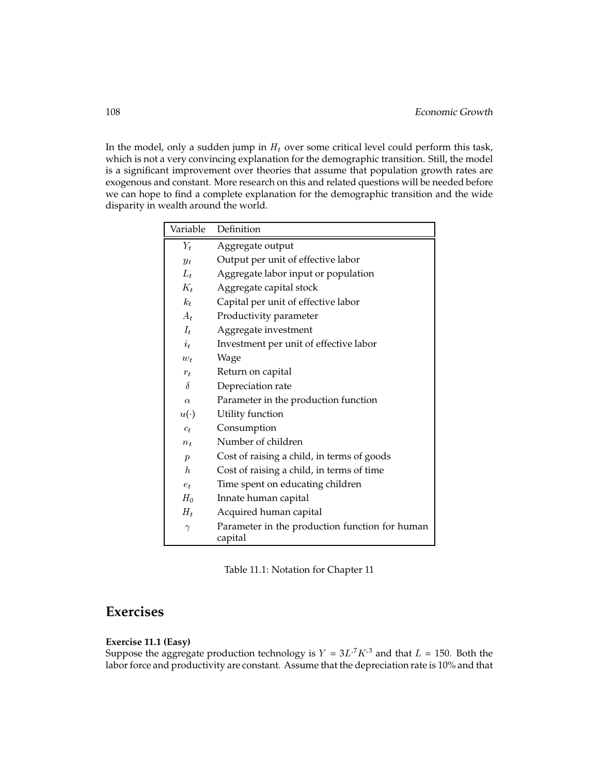In the model, only a sudden jump in  $H_t$  over some critical level could perform this task, which is not a very convincing explanation for the demographic transition. Still, the model is a significant improvement over theories that assume that population growth rates are exogenous and constant. More research on this and related questions will be needed before we can hope to find a complete explanation for the demographic transition and the wide disparity in wealth around the world.

| Variable         | Definition                                                |
|------------------|-----------------------------------------------------------|
| $Y_t$            | Aggregate output                                          |
| $y_t$            | Output per unit of effective labor                        |
| $L_t$            | Aggregate labor input or population                       |
| $K_t$            | Aggregate capital stock                                   |
| $k_t$            | Capital per unit of effective labor                       |
| $A_t$            | Productivity parameter                                    |
| $I_t$            | Aggregate investment                                      |
| $i_t$            | Investment per unit of effective labor                    |
| $w_t$            | Wage                                                      |
| $r_t$            | Return on capital                                         |
| $\delta$         | Depreciation rate                                         |
| $\alpha$         | Parameter in the production function                      |
| $u(\cdot)$       | Utility function                                          |
| $c_t$            | Consumption                                               |
| $n_t$            | Number of children                                        |
| $\boldsymbol{p}$ | Cost of raising a child, in terms of goods                |
| $\hbar$          | Cost of raising a child, in terms of time                 |
| $e_t$            | Time spent on educating children                          |
| $H_0$            | Innate human capital                                      |
| $H_t$            | Acquired human capital                                    |
| $\gamma$         | Parameter in the production function for human<br>capital |

Table 11.1: Notation for Chapter 11

## **Exercises**

#### **Exercise 11.1 (Easy)**

Suppose the aggregate production technology is  $Y = 3L^7K^{.3}$  and that  $L = 150$ . Both the labor force and productivity are constant. Assume that the depreciation rate is 10% and that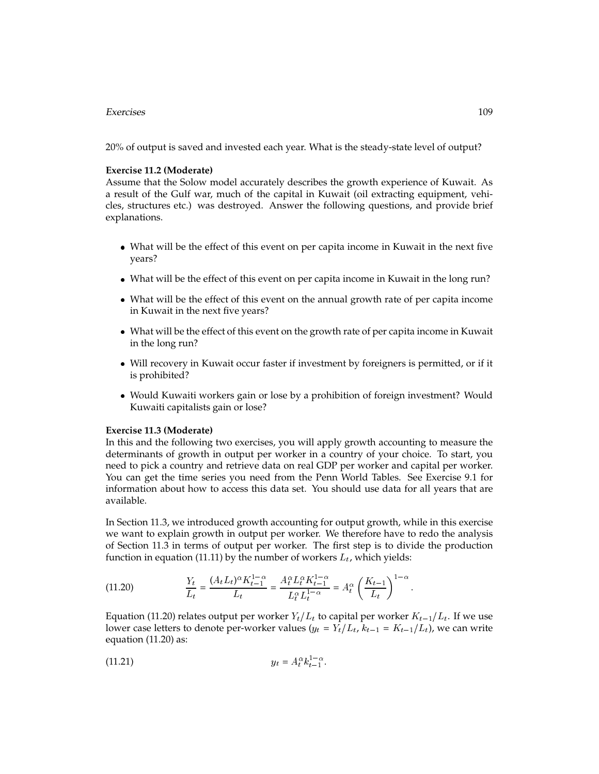#### Exercises 109

20% of output is saved and invested each year. What is the steady-state level of output?

#### **Exercise 11.2 (Moderate)**

Assume that the Solow model accurately describes the growth experience of Kuwait. As a result of the Gulf war, much of the capital in Kuwait (oil extracting equipment, vehicles, structures etc.) was destroyed. Answer the following questions, and provide brief explanations.

- What will be the effect of this event on per capita income in Kuwait in the next five years?
- What will be the effect of this event on per capita income in Kuwait in the long run?
- What will be the effect of this event on the annual growth rate of per capita income in Kuwait in the next five years?
- What will be the effect of this event on the growth rate of per capita income in Kuwait in the long run?
- Will recovery in Kuwait occur faster if investment by foreigners is permitted, or if it is prohibited?
- Would Kuwaiti workers gain or lose by a prohibition of foreign investment? Would Kuwaiti capitalists gain or lose?

#### **Exercise 11.3 (Moderate)**

In this and the following two exercises, you will apply growth accounting to measure the determinants of growth in output per worker in a country of your choice. To start, you need to pick a country and retrieve data on real GDP per worker and capital per worker. You can get the time series you need from the Penn World Tables. See Exercise 9.1 for information about how to access this data set. You should use data for all years that are available.

In Section 11.3, we introduced growth accounting for output growth, while in this exercise we want to explain growth in output per worker. We therefore have to redo the analysis of Section 11.3 in terms of output per worker. The first step is to divide the production function in equation (11.11) by the number of workers  $L_t$ , which yields:

(11.20) 
$$
\frac{Y_t}{L_t} = \frac{(A_t L_t)^{\alpha} K_{t-1}^{1-\alpha}}{L_t} = \frac{A_t^{\alpha} L_t^{\alpha} K_{t-1}^{1-\alpha}}{L_t^{\alpha} L_t^{1-\alpha}} = A_t^{\alpha} \left(\frac{K_{t-1}}{L_t}\right)^{1-\alpha}.
$$

Equation (11.20) relates output per worker  $Y_t/L_t$  to capital per worker  $K_{t-1}/L_t$ . If we use lower case letters to denote per-worker values  $(y_t = Y_t/L_t, k_{t-1} = K_{t-1}/L_t)$ , we can write equation (11.20) as:

(11.21) 
$$
y_t = A_t^{\alpha} k_{t-1}^{1-\alpha}.
$$